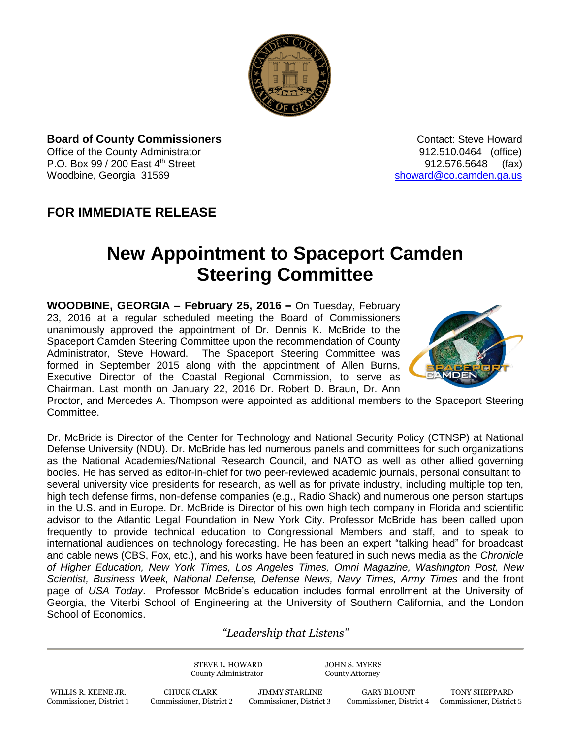

**Board of County Commissioners Contact: Steve Howard Contact: Steve Howard** Office of the County Administrator 912.510.0464 (office) P.O. Box 99 / 200 East 4<sup>th</sup> Street 912.576.5648 (fax) Woodbine, Georgia 31569 [showard@co.camden.ga.us](mailto:showard@co.camden.ga.us)

## **FOR IMMEDIATE RELEASE**

## **New Appointment to Spaceport Camden Steering Committee**

**WOODBINE, GEORGIA – February 25, 2016 –** On Tuesday, February 23, 2016 at a regular scheduled meeting the Board of Commissioners unanimously approved the appointment of Dr. Dennis K. McBride to the Spaceport Camden Steering Committee upon the recommendation of County Administrator, Steve Howard. The Spaceport Steering Committee was formed in September 2015 along with the appointment of Allen Burns, Executive Director of the Coastal Regional Commission, to serve as Chairman. Last month on January 22, 2016 Dr. Robert D. Braun, Dr. Ann



Proctor, and Mercedes A. Thompson were appointed as additional members to the Spaceport Steering Committee.

Dr. McBride is Director of the Center for Technology and National Security Policy (CTNSP) at National Defense University (NDU). Dr. McBride has led numerous panels and committees for such organizations as the National Academies/National Research Council, and NATO as well as other allied governing bodies. He has served as editor-in-chief for two peer-reviewed academic journals, personal consultant to several university vice presidents for research, as well as for private industry, including multiple top ten, high tech defense firms, non-defense companies (e.g., Radio Shack) and numerous one person startups in the U.S. and in Europe. Dr. McBride is Director of his own high tech company in Florida and scientific advisor to the Atlantic Legal Foundation in New York City. Professor McBride has been called upon frequently to provide technical education to Congressional Members and staff, and to speak to international audiences on technology forecasting. He has been an expert "talking head" for broadcast and cable news (CBS, Fox, etc.), and his works have been featured in such news media as the *Chronicle of Higher Education, New York Times, Los Angeles Times, Omni Magazine, Washington Post, New*  Scientist, Business Week, National Defense, Defense News, Navy Times, Army Times and the front page of *USA Today*. Professor McBride's education includes formal enrollment at the University of Georgia, the Viterbi School of Engineering at the University of Southern California, and the London School of Economics.

## *"Leadership that Listens"*

STEVE L. HOWARD JOHN S. MYERS County Administrator County Attorney

WILLIS R. KEENE JR. CHUCK CLARK JIMMY STARLINE GARY BLOUNT TONY SHEPPARD